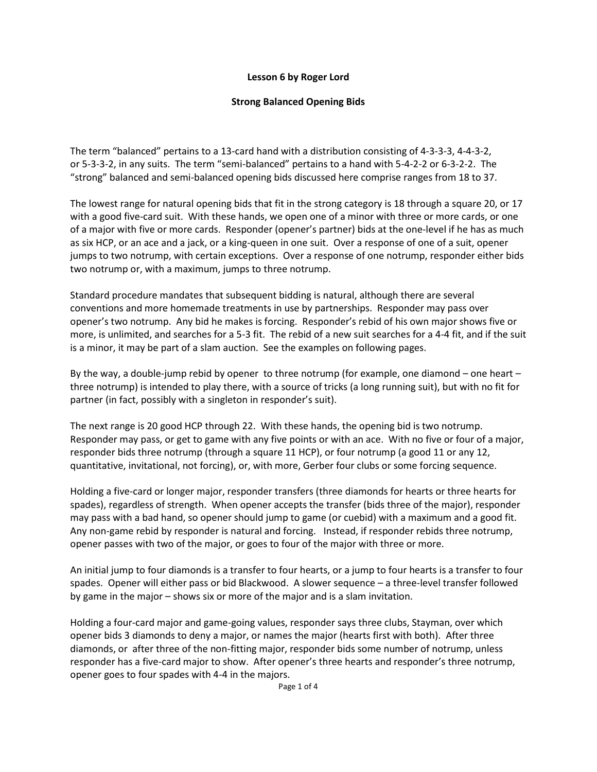## **Lesson 6 by Roger Lord**

## **Strong Balanced Opening Bids**

The term "balanced" pertains to a 13-card hand with a distribution consisting of 4-3-3-3, 4-4-3-2, or 5-3-3-2, in any suits. The term "semi-balanced" pertains to a hand with 5-4-2-2 or 6-3-2-2. The "strong" balanced and semi-balanced opening bids discussed here comprise ranges from 18 to 37.

The lowest range for natural opening bids that fit in the strong category is 18 through a square 20, or 17 with a good five-card suit. With these hands, we open one of a minor with three or more cards, or one of a major with five or more cards. Responder (opener's partner) bids at the one-level if he has as much as six HCP, or an ace and a jack, or a king-queen in one suit. Over a response of one of a suit, opener jumps to two notrump, with certain exceptions. Over a response of one notrump, responder either bids two notrump or, with a maximum, jumps to three notrump.

Standard procedure mandates that subsequent bidding is natural, although there are several conventions and more homemade treatments in use by partnerships. Responder may pass over opener's two notrump. Any bid he makes is forcing. Responder's rebid of his own major shows five or more, is unlimited, and searches for a 5-3 fit. The rebid of a new suit searches for a 4-4 fit, and if the suit is a minor, it may be part of a slam auction. See the examples on following pages.

By the way, a double-jump rebid by opener to three notrump (for example, one diamond – one heart – three notrump) is intended to play there, with a source of tricks (a long running suit), but with no fit for partner (in fact, possibly with a singleton in responder's suit).

The next range is 20 good HCP through 22. With these hands, the opening bid is two notrump. Responder may pass, or get to game with any five points or with an ace. With no five or four of a major, responder bids three notrump (through a square 11 HCP), or four notrump (a good 11 or any 12, quantitative, invitational, not forcing), or, with more, Gerber four clubs or some forcing sequence.

Holding a five-card or longer major, responder transfers (three diamonds for hearts or three hearts for spades), regardless of strength. When opener accepts the transfer (bids three of the major), responder may pass with a bad hand, so opener should jump to game (or cuebid) with a maximum and a good fit. Any non-game rebid by responder is natural and forcing. Instead, if responder rebids three notrump, opener passes with two of the major, or goes to four of the major with three or more.

An initial jump to four diamonds is a transfer to four hearts, or a jump to four hearts is a transfer to four spades. Opener will either pass or bid Blackwood. A slower sequence – a three-level transfer followed by game in the major – shows six or more of the major and is a slam invitation.

Holding a four-card major and game-going values, responder says three clubs, Stayman, over which opener bids 3 diamonds to deny a major, or names the major (hearts first with both). After three diamonds, or after three of the non-fitting major, responder bids some number of notrump, unless responder has a five-card major to show. After opener's three hearts and responder's three notrump, opener goes to four spades with 4-4 in the majors.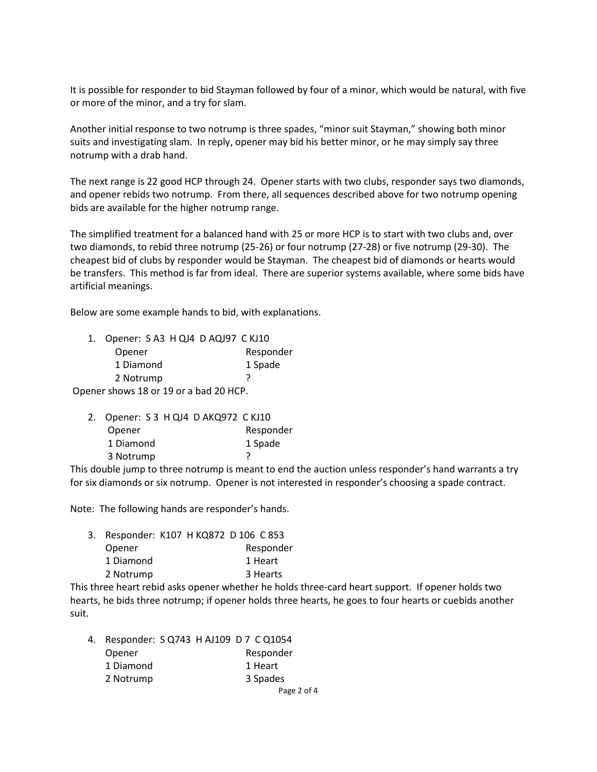It is possible for responder to bid Stayman followed by four of a minor, which would be natural, with five or more of the minor, and a try for slam.

Another initial response to two notrump is three spades, "minor suit Stayman," showing both minor suits and investigating slam. In reply, opener may bid his better minor, or he may simply say three notrump with a drab hand.

The next range is 22 good HCP through 24. Opener starts with two clubs, responder says two diamonds, and opener rebids two notrump. From there, all sequences described above for two notrump opening bids are available for the higher notrump range.

The simplified treatment for a balanced hand with 25 or more HCP is to start with two clubs and, over two diamonds, to rebid three notrump (25-26) or four notrump (27-28) or five notrump (29-30). The cheapest bid of clubs by responder would be Stayman. The cheapest bid of diamonds or hearts would be transfers. This method is far from ideal. There are superior systems available, where some bids have artificial meanings.

Below are some example hands to bid, with explanations.

| Opener: SA3 H QJ4 D AQJ97 C KJ10<br>1. |           |  |  |
|----------------------------------------|-----------|--|--|
| Opener                                 | Responder |  |  |
| 1 Diamond                              | 1 Spade   |  |  |
| 2 Notrump                              |           |  |  |
| Opener shows 18 or 19 or a bad 20 HCP. |           |  |  |

| 2. Opener: S 3 H QJ4 D AKQ972 C KJ10 |           |
|--------------------------------------|-----------|
| Opener                               | Responder |
| 1 Diamond                            | 1 Spade   |
| 3 Notrump                            |           |

This double jump to three notrump is meant to end the auction unless responder's hand warrants a try for six diamonds or six notrump. Opener is not interested in responder's choosing a spade contract.

Note: The following hands are responder's hands.

| 3. Responder: K107 HKQ872 D 106 C 853 |  |           |
|---------------------------------------|--|-----------|
| Opener                                |  | Responder |
| 1 Diamond                             |  | 1 Heart   |
| 2 Notrump                             |  | 3 Hearts  |
|                                       |  |           |

This three heart rebid asks opener whether he holds three-card heart support. If opener holds two hearts, he bids three notrump; if opener holds three hearts, he goes to four hearts or cuebids another suit.

|  | 4. Responder: SQ743 H AJ109 D 7 C Q1054 |  |           |             |
|--|-----------------------------------------|--|-----------|-------------|
|  | Opener                                  |  | Responder |             |
|  | 1 Diamond                               |  | 1 Heart   |             |
|  | 2 Notrump                               |  | 3 Spades  |             |
|  |                                         |  |           | Page 2 of 4 |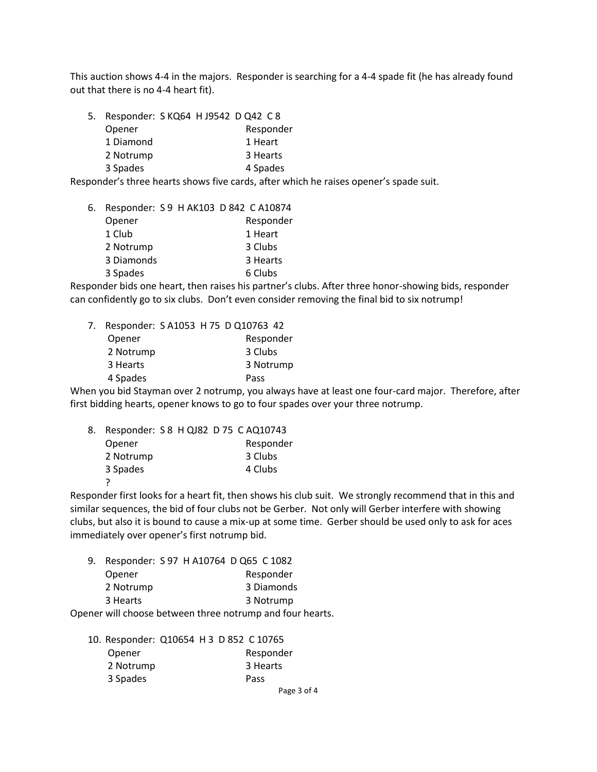This auction shows 4-4 in the majors. Responder is searching for a 4-4 spade fit (he has already found out that there is no 4-4 heart fit).

|  | 5. Responder: S KQ64 H J9542 D Q42 C 8 |  |           |
|--|----------------------------------------|--|-----------|
|  | Opener                                 |  | Responder |
|  | 1 Diamond                              |  | 1 Heart   |
|  | 2 Notrump                              |  | 3 Hearts  |
|  | 3 Spades                               |  | 4 Spades  |

Responder's three hearts shows five cards, after which he raises opener's spade suit.

| 6. | Responder: S9 H AK103 D 842 C A10874 |  |           |
|----|--------------------------------------|--|-----------|
|    | Opener                               |  | Responder |
|    | 1 Club                               |  | 1 Heart   |
|    | 2 Notrump                            |  | 3 Clubs   |
|    | 3 Diamonds                           |  | 3 Hearts  |
|    | 3 Spades                             |  | 6 Clubs   |

Responder bids one heart, then raises his partner's clubs. After three honor-showing bids, responder can confidently go to six clubs. Don't even consider removing the final bid to six notrump!

| 7. |           |  | Responder: SA1053 H 75 D Q10763 42 |
|----|-----------|--|------------------------------------|
|    | Opener    |  | Responder                          |
|    | 2 Notrump |  | 3 Clubs                            |
|    | 3 Hearts  |  | 3 Notrump                          |
|    | 4 Spades  |  | Pass                               |

When you bid Stayman over 2 notrump, you always have at least one four-card major. Therefore, after first bidding hearts, opener knows to go to four spades over your three notrump.

| 8. | Responder: S 8 H QJ82 D 75 C AQ10743 |  |           |
|----|--------------------------------------|--|-----------|
|    | Opener                               |  | Responder |
|    | 2 Notrump                            |  | 3 Clubs   |
|    | 3 Spades                             |  | 4 Clubs   |
|    |                                      |  |           |

Responder first looks for a heart fit, then shows his club suit. We strongly recommend that in this and similar sequences, the bid of four clubs not be Gerber. Not only will Gerber interfere with showing clubs, but also it is bound to cause a mix-up at some time. Gerber should be used only to ask for aces immediately over opener's first notrump bid.

| 9. | Responder: S 97 H A10764 D Q65 C 1082 |  |            |
|----|---------------------------------------|--|------------|
|    | Opener                                |  | Responder  |
|    | 2 Notrump                             |  | 3 Diamonds |
|    | 3 Hearts                              |  | 3 Notrump  |
|    |                                       |  |            |

Opener will choose between three notrump and four hearts.

| 10. Responder: Q10654 H 3 D 852 C 10765 |           |             |
|-----------------------------------------|-----------|-------------|
| Opener                                  | Responder |             |
| 2 Notrump                               | 3 Hearts  |             |
| 3 Spades                                | Pass      |             |
|                                         |           | Page 3 of 4 |